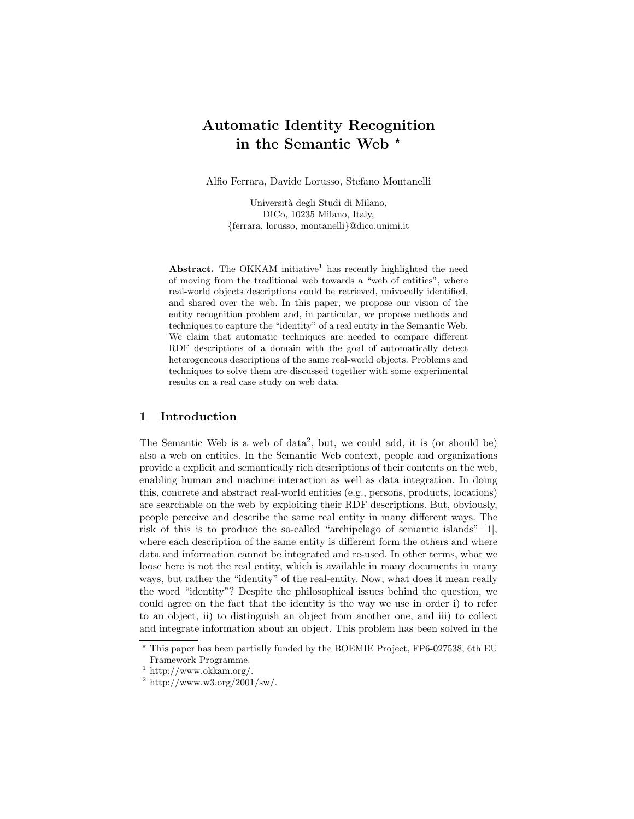# Automatic Identity Recognition in the Semantic Web  $*$

Alfio Ferrara, Davide Lorusso, Stefano Montanelli

Università degli Studi di Milano, DICo, 10235 Milano, Italy, {ferrara, lorusso, montanelli}@dico.unimi.it

Abstract. The OKKAM initiative<sup>1</sup> has recently highlighted the need of moving from the traditional web towards a "web of entities", where real-world objects descriptions could be retrieved, univocally identified, and shared over the web. In this paper, we propose our vision of the entity recognition problem and, in particular, we propose methods and techniques to capture the "identity" of a real entity in the Semantic Web. We claim that automatic techniques are needed to compare different RDF descriptions of a domain with the goal of automatically detect heterogeneous descriptions of the same real-world objects. Problems and techniques to solve them are discussed together with some experimental results on a real case study on web data.

### 1 Introduction

The Semantic Web is a web of  $data^2$ , but, we could add, it is (or should be) also a web on entities. In the Semantic Web context, people and organizations provide a explicit and semantically rich descriptions of their contents on the web, enabling human and machine interaction as well as data integration. In doing this, concrete and abstract real-world entities (e.g., persons, products, locations) are searchable on the web by exploiting their RDF descriptions. But, obviously, people perceive and describe the same real entity in many different ways. The risk of this is to produce the so-called "archipelago of semantic islands" [1], where each description of the same entity is different form the others and where data and information cannot be integrated and re-used. In other terms, what we loose here is not the real entity, which is available in many documents in many ways, but rather the "identity" of the real-entity. Now, what does it mean really the word "identity"? Despite the philosophical issues behind the question, we could agree on the fact that the identity is the way we use in order i) to refer to an object, ii) to distinguish an object from another one, and iii) to collect and integrate information about an object. This problem has been solved in the

<sup>?</sup> This paper has been partially funded by the BOEMIE Project, FP6-027538, 6th EU Framework Programme.

 $^{\rm 1}$ http://www.okkam.org/.

 $^{2}$  http://www.w3.org/2001/sw/.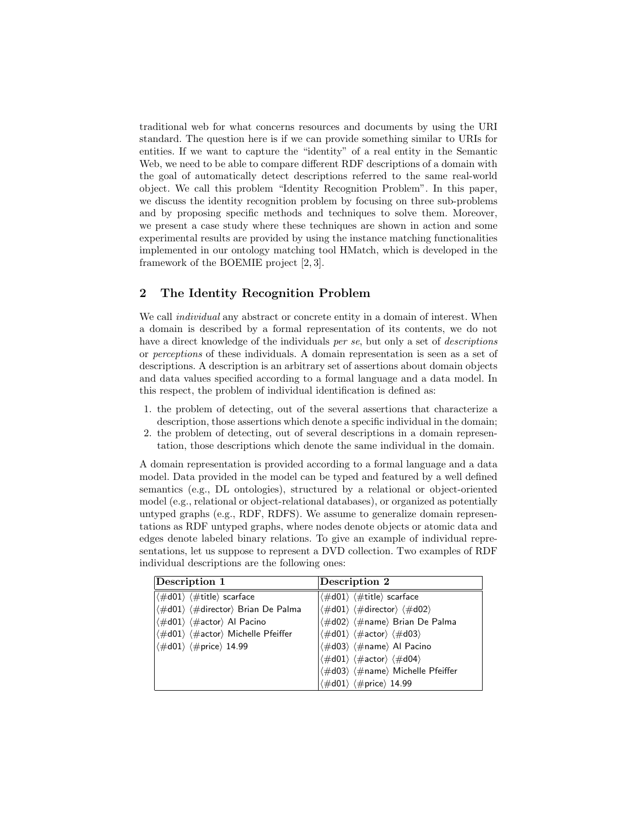traditional web for what concerns resources and documents by using the URI standard. The question here is if we can provide something similar to URIs for entities. If we want to capture the "identity" of a real entity in the Semantic Web, we need to be able to compare different RDF descriptions of a domain with the goal of automatically detect descriptions referred to the same real-world object. We call this problem "Identity Recognition Problem". In this paper, we discuss the identity recognition problem by focusing on three sub-problems and by proposing specific methods and techniques to solve them. Moreover, we present a case study where these techniques are shown in action and some experimental results are provided by using the instance matching functionalities implemented in our ontology matching tool HMatch, which is developed in the framework of the BOEMIE project [2, 3].

# 2 The Identity Recognition Problem

We call *individual* any abstract or concrete entity in a domain of interest. When a domain is described by a formal representation of its contents, we do not have a direct knowledge of the individuals per se, but only a set of *descriptions* or perceptions of these individuals. A domain representation is seen as a set of descriptions. A description is an arbitrary set of assertions about domain objects and data values specified according to a formal language and a data model. In this respect, the problem of individual identification is defined as:

- 1. the problem of detecting, out of the several assertions that characterize a description, those assertions which denote a specific individual in the domain;
- 2. the problem of detecting, out of several descriptions in a domain representation, those descriptions which denote the same individual in the domain.

A domain representation is provided according to a formal language and a data model. Data provided in the model can be typed and featured by a well defined semantics (e.g., DL ontologies), structured by a relational or object-oriented model (e.g., relational or object-relational databases), or organized as potentially untyped graphs (e.g., RDF, RDFS). We assume to generalize domain representations as RDF untyped graphs, where nodes denote objects or atomic data and edges denote labeled binary relations. To give an example of individual representations, let us suppose to represent a DVD collection. Two examples of RDF individual descriptions are the following ones:

| Description 1                                                       | Description 2                                                                        |
|---------------------------------------------------------------------|--------------------------------------------------------------------------------------|
| $\langle \#$ d $01 \rangle$ $\langle \#$ title $\rangle$ scarface   | $\langle \#d01 \rangle$ $\langle \#title \rangle$ scarface                           |
| (#d01) (#director) Brian De Palma                                   | $\langle \#d01 \rangle$ $\langle \#director \rangle$ $\langle \#d02 \rangle$         |
| 《#d01》 〈#actor〉 Al Pacino                                           | $\langle \#$ d02 $\rangle$ $\langle \#$ name $\rangle$ Brian De Palma                |
| $\langle \#d01 \rangle$ $\langle \#actor \rangle$ Michelle Pfeiffer | $\langle \#$ d $01 \rangle$ $\langle \#$ actor $\rangle$ $\langle \#$ d $03 \rangle$ |
| $\langle \#d01 \rangle$ $\langle \#price \rangle$ 14.99             | (#d03) (#name) Al Pacino                                                             |
|                                                                     | $\langle \#d01 \rangle$ $\langle \#actor \rangle$ $\langle \#d04 \rangle$            |
|                                                                     | (#d03) (#name) Michelle Pfeiffer                                                     |
|                                                                     | (#d01) (#price) 14.99                                                                |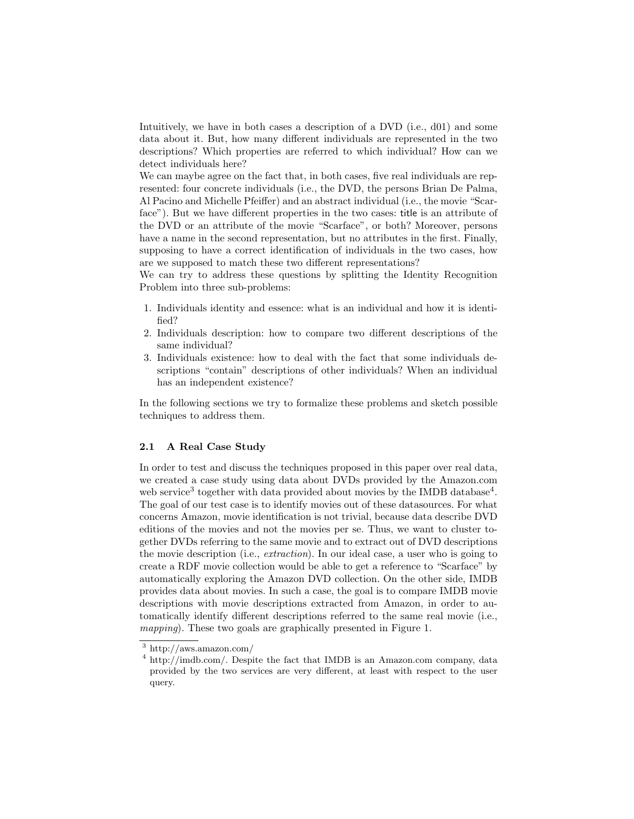Intuitively, we have in both cases a description of a DVD (i.e., d01) and some data about it. But, how many different individuals are represented in the two descriptions? Which properties are referred to which individual? How can we detect individuals here?

We can maybe agree on the fact that, in both cases, five real individuals are represented: four concrete individuals (i.e., the DVD, the persons Brian De Palma, Al Pacino and Michelle Pfeiffer) and an abstract individual (i.e., the movie "Scarface"). But we have different properties in the two cases: title is an attribute of the DVD or an attribute of the movie "Scarface", or both? Moreover, persons have a name in the second representation, but no attributes in the first. Finally, supposing to have a correct identification of individuals in the two cases, how are we supposed to match these two different representations?

We can try to address these questions by splitting the Identity Recognition Problem into three sub-problems:

- 1. Individuals identity and essence: what is an individual and how it is identified?
- 2. Individuals description: how to compare two different descriptions of the same individual?
- 3. Individuals existence: how to deal with the fact that some individuals descriptions "contain" descriptions of other individuals? When an individual has an independent existence?

In the following sections we try to formalize these problems and sketch possible techniques to address them.

#### 2.1 A Real Case Study

In order to test and discuss the techniques proposed in this paper over real data, we created a case study using data about DVDs provided by the Amazon.com web service<sup>3</sup> together with data provided about movies by the IMDB database<sup>4</sup>. The goal of our test case is to identify movies out of these datasources. For what concerns Amazon, movie identification is not trivial, because data describe DVD editions of the movies and not the movies per se. Thus, we want to cluster together DVDs referring to the same movie and to extract out of DVD descriptions the movie description (i.e., extraction). In our ideal case, a user who is going to create a RDF movie collection would be able to get a reference to "Scarface" by automatically exploring the Amazon DVD collection. On the other side, IMDB provides data about movies. In such a case, the goal is to compare IMDB movie descriptions with movie descriptions extracted from Amazon, in order to automatically identify different descriptions referred to the same real movie (i.e., mapping). These two goals are graphically presented in Figure 1.

<sup>3</sup> http://aws.amazon.com/

<sup>4</sup> http://imdb.com/. Despite the fact that IMDB is an Amazon.com company, data provided by the two services are very different, at least with respect to the user query.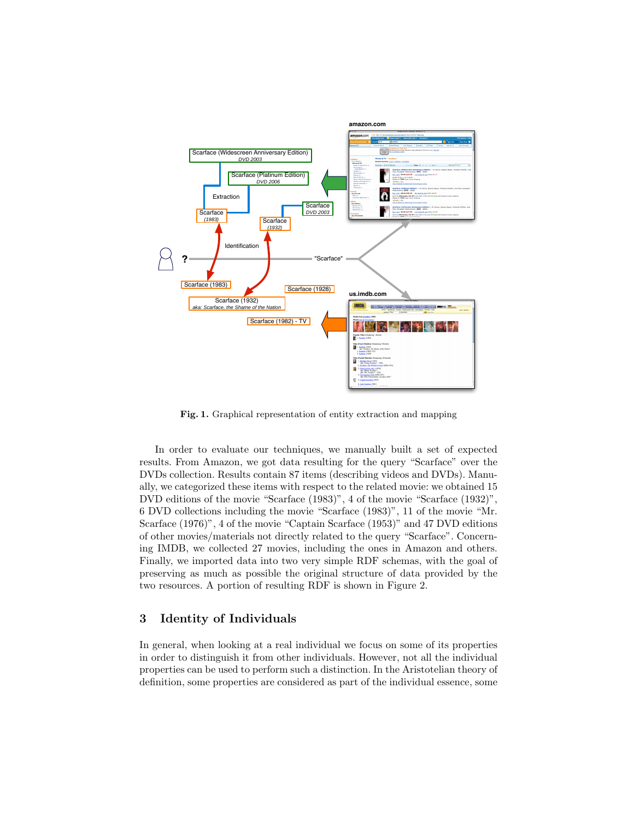

Fig. 1. Graphical representation of entity extraction and mapping

In order to evaluate our techniques, we manually built a set of expected results. From Amazon, we got data resulting for the query "Scarface" over the DVDs collection. Results contain 87 items (describing videos and DVDs). Manually, we categorized these items with respect to the related movie: we obtained 15 DVD editions of the movie "Scarface (1983)", 4 of the movie "Scarface (1932)", 6 DVD collections including the movie "Scarface (1983)", 11 of the movie "Mr. Scarface (1976)", 4 of the movie "Captain Scarface (1953)" and 47 DVD editions of other movies/materials not directly related to the query "Scarface". Concerning IMDB, we collected 27 movies, including the ones in Amazon and others. Finally, we imported data into two very simple RDF schemas, with the goal of preserving as much as possible the original structure of data provided by the two resources. A portion of resulting RDF is shown in Figure 2.

### 3 Identity of Individuals

In general, when looking at a real individual we focus on some of its properties in order to distinguish it from other individuals. However, not all the individual properties can be used to perform such a distinction. In the Aristotelian theory of definition, some properties are considered as part of the individual essence, some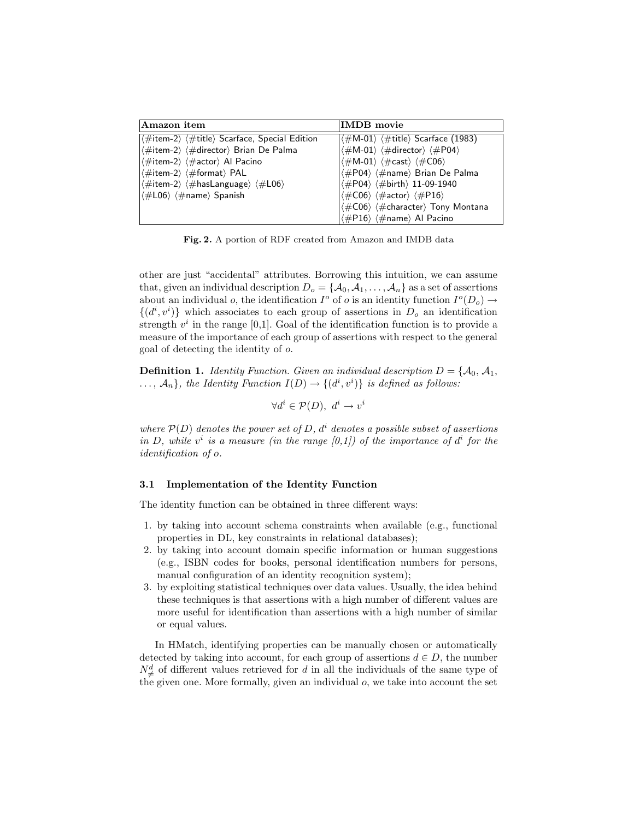| Amazon item                                                                           | <b>IMDB</b> movie                                                                                       |
|---------------------------------------------------------------------------------------|---------------------------------------------------------------------------------------------------------|
| (#item-2) (#title) Scarface, Special Edition                                          | $\ket{\# M\text{-}01}\bra{\# \text{title}}$ Scarface (1983)                                             |
| (#item-2) (#director) Brian De Palma                                                  | 〈#M-01〉 〈#director〉 〈#P04〉                                                                              |
| $\langle \#item-2 \rangle$ $\langle \#actor \rangle$ Al Pacino                        | $\langle \# M - 01 \rangle$ $\langle \# cast \rangle$ $\langle \# C06 \rangle$                          |
| $\langle\#item-2\rangle$ $\langle\#format\rangle$ PAL                                 | (#P04) (#name) Brian De Palma                                                                           |
| $\langle \#item-2 \rangle$ $\langle \#hash$ anguage $\rangle$ $\langle \#L06 \rangle$ | (#P04) (#birth) 11-09-1940                                                                              |
| $\langle \# \mathsf{L06} \rangle$ $\langle \# \mathsf{name} \rangle$ Spanish          | $\langle \# \mathsf{C}06 \rangle$ $\langle \# \mathsf{actor} \rangle$ $\langle \# \mathsf{P}16 \rangle$ |
|                                                                                       | (#C06) (#character) Tony Montana                                                                        |
|                                                                                       | $\langle \#P16 \rangle$ $\langle \#name \rangle$ Al Pacino                                              |

Fig. 2. A portion of RDF created from Amazon and IMDB data

other are just "accidental" attributes. Borrowing this intuition, we can assume that, given an individual description  $D_o = \{A_0, A_1, \ldots, A_n\}$  as a set of assertions about an individual o, the identification  $I^o$  of o is an identity function  $I^o(D_o) \to$  $\{(d^i, v^i)\}\$  which associates to each group of assertions in  $D_o$  an identification strength  $v^i$  in the range [0,1]. Goal of the identification function is to provide a measure of the importance of each group of assertions with respect to the general goal of detecting the identity of o.

Definition 1. Identity Function. Given an individual description D = {A0, A1,  $\ldots, \mathcal{A}_n$ , the Identity Function  $I(D) \to \{(d^i, v^i)\}\;$  is defined as follows:

$$
\forall d^i \in \mathcal{P}(D), \ d^i \to v^i
$$

where  $\mathcal{P}(D)$  denotes the power set of D,  $d^i$  denotes a possible subset of assertions in D, while  $v^i$  is a measure (in the range  $(0,1)$ ) of the importance of  $d^i$  for the identification of o.

#### 3.1 Implementation of the Identity Function

The identity function can be obtained in three different ways:

- 1. by taking into account schema constraints when available (e.g., functional properties in DL, key constraints in relational databases);
- 2. by taking into account domain specific information or human suggestions (e.g., ISBN codes for books, personal identification numbers for persons, manual configuration of an identity recognition system);
- 3. by exploiting statistical techniques over data values. Usually, the idea behind these techniques is that assertions with a high number of different values are more useful for identification than assertions with a high number of similar or equal values.

In HMatch, identifying properties can be manually chosen or automatically detected by taking into account, for each group of assertions  $d \in D$ , the number  $N_{\neq}^d$  of different values retrieved for d in all the individuals of the same type of the given one. More formally, given an individual  $o$ , we take into account the set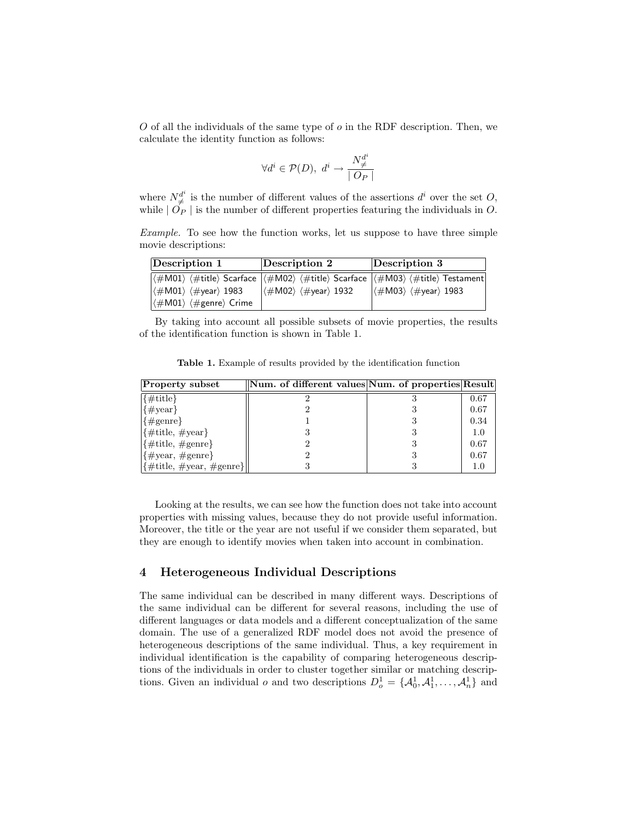$O$  of all the individuals of the same type of  $o$  in the RDF description. Then, we calculate the identity function as follows:

$$
\forall d^{i} \in \mathcal{P}(D),\ d^{i} \rightarrow \frac{N_{\neq}^{d^{i}}}{\mid O_{P} \mid}
$$

where  $N_{\neq}^{d^i}$  is the number of different values of the assertions  $d^i$  over the set O, while  $|O_P|$  is the number of different properties featuring the individuals in O.

Example. To see how the function works, let us suppose to have three simple movie descriptions:

| Description 1                                                               | Description 2                                                                                           | Description 3                                                                                                                                                                                                                  |
|-----------------------------------------------------------------------------|---------------------------------------------------------------------------------------------------------|--------------------------------------------------------------------------------------------------------------------------------------------------------------------------------------------------------------------------------|
|                                                                             |                                                                                                         | $ \langle \# \text{M}01 \rangle \langle \# \text{title} \rangle$ Scarface $ \langle \# \text{M}02 \rangle \langle \# \text{title} \rangle$ Scarface $ \langle \# \text{M}03 \rangle \langle \# \text{title} \rangle$ Testament |
| $\ket{\langle \# \text{M}01 \rangle \langle \# \text{year} \rangle 1983}$   | $\left \left\langle \# \text{M}02 \right\rangle \left\langle \# \text{year} \right\rangle 1932 \right $ | $\left \left\langle \# \text{M}03 \right\rangle \left\langle \# \text{year} \right\rangle 1983 \right $                                                                                                                        |
| $\ket{\langle \# \text{M}01 \rangle \langle \# \text{genre} \rangle}$ Crime |                                                                                                         |                                                                                                                                                                                                                                |

By taking into account all possible subsets of movie properties, the results of the identification function is shown in Table 1.

Table 1. Example of results provided by the identification function

| Property subset                                        | Num. of different values Num. of properties Result |      |
|--------------------------------------------------------|----------------------------------------------------|------|
| $\vert \{\# \text{title}\}\vert$                       |                                                    | 0.67 |
| $\langle \# \text{year} \rangle$                       |                                                    | 0.67 |
| $\{\text{\#generate}\}\$                               |                                                    | 0.34 |
| $\{\text{\#title}, \text{#year}\}\$                    |                                                    | 1.0  |
| $\{\# \text{title}, \# \text{gence}\}$                 |                                                    | 0.67 |
| $\{\text{\#year}, \text{\#game}\}$                     |                                                    | 0.67 |
| $\{\text{\#title}, \text{\#year}, \text{\#generic}\}\$ |                                                    | 1.0  |

Looking at the results, we can see how the function does not take into account properties with missing values, because they do not provide useful information. Moreover, the title or the year are not useful if we consider them separated, but they are enough to identify movies when taken into account in combination.

### 4 Heterogeneous Individual Descriptions

The same individual can be described in many different ways. Descriptions of the same individual can be different for several reasons, including the use of different languages or data models and a different conceptualization of the same domain. The use of a generalized RDF model does not avoid the presence of heterogeneous descriptions of the same individual. Thus, a key requirement in individual identification is the capability of comparing heterogeneous descriptions of the individuals in order to cluster together similar or matching descriptions. Given an individual  $o$  and two descriptions  $D_o^1 = \{A_0^1, A_1^1, \ldots, A_n^1\}$  and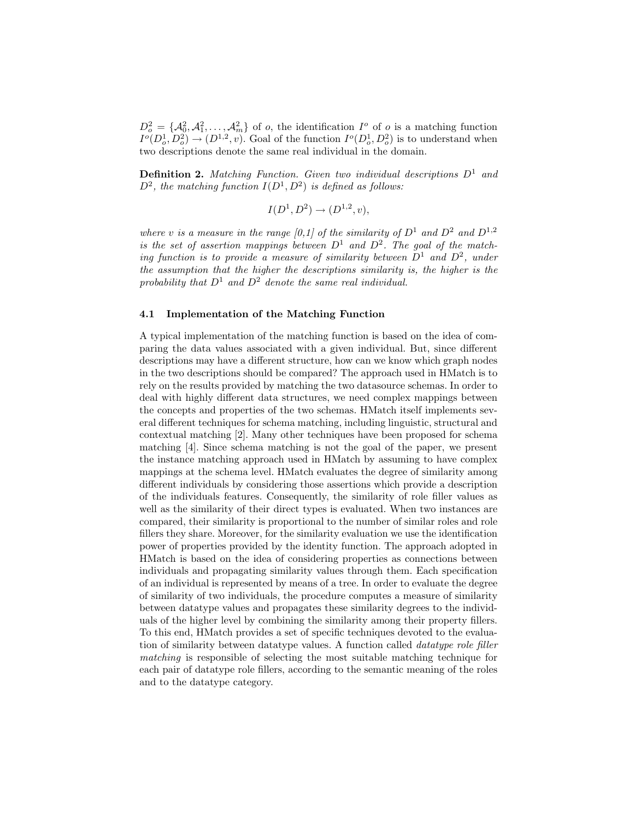$D_o^2 = \{A_0^2, A_1^2, \ldots, A_m^2\}$  of *o*, the identification  $I^o$  of *o* is a matching function  $I^o(D^1_o, D^2_o) \to (D^{1,2}, v)$ . Goal of the function  $I^o(D^1_o, D^2_o)$  is to understand when two descriptions denote the same real individual in the domain.

**Definition 2.** Matching Function. Given two individual descriptions  $D^1$  and  $D^2$ , the matching function  $I(D^1, D^2)$  is defined as follows:

$$
I(D^1, D^2) \to (D^{1,2}, v),
$$

where v is a measure in the range [0,1] of the similarity of  $D^1$  and  $D^2$  and  $D^{1,2}$ is the set of assertion mappings between  $D^1$  and  $D^2$ . The goal of the matching function is to provide a measure of similarity between  $D^1$  and  $D^2$ , under the assumption that the higher the descriptions similarity is, the higher is the probability that  $D^1$  and  $D^2$  denote the same real individual.

#### 4.1 Implementation of the Matching Function

A typical implementation of the matching function is based on the idea of comparing the data values associated with a given individual. But, since different descriptions may have a different structure, how can we know which graph nodes in the two descriptions should be compared? The approach used in HMatch is to rely on the results provided by matching the two datasource schemas. In order to deal with highly different data structures, we need complex mappings between the concepts and properties of the two schemas. HMatch itself implements several different techniques for schema matching, including linguistic, structural and contextual matching [2]. Many other techniques have been proposed for schema matching [4]. Since schema matching is not the goal of the paper, we present the instance matching approach used in HMatch by assuming to have complex mappings at the schema level. HMatch evaluates the degree of similarity among different individuals by considering those assertions which provide a description of the individuals features. Consequently, the similarity of role filler values as well as the similarity of their direct types is evaluated. When two instances are compared, their similarity is proportional to the number of similar roles and role fillers they share. Moreover, for the similarity evaluation we use the identification power of properties provided by the identity function. The approach adopted in HMatch is based on the idea of considering properties as connections between individuals and propagating similarity values through them. Each specification of an individual is represented by means of a tree. In order to evaluate the degree of similarity of two individuals, the procedure computes a measure of similarity between datatype values and propagates these similarity degrees to the individuals of the higher level by combining the similarity among their property fillers. To this end, HMatch provides a set of specific techniques devoted to the evaluation of similarity between datatype values. A function called datatype role filler matching is responsible of selecting the most suitable matching technique for each pair of datatype role fillers, according to the semantic meaning of the roles and to the datatype category.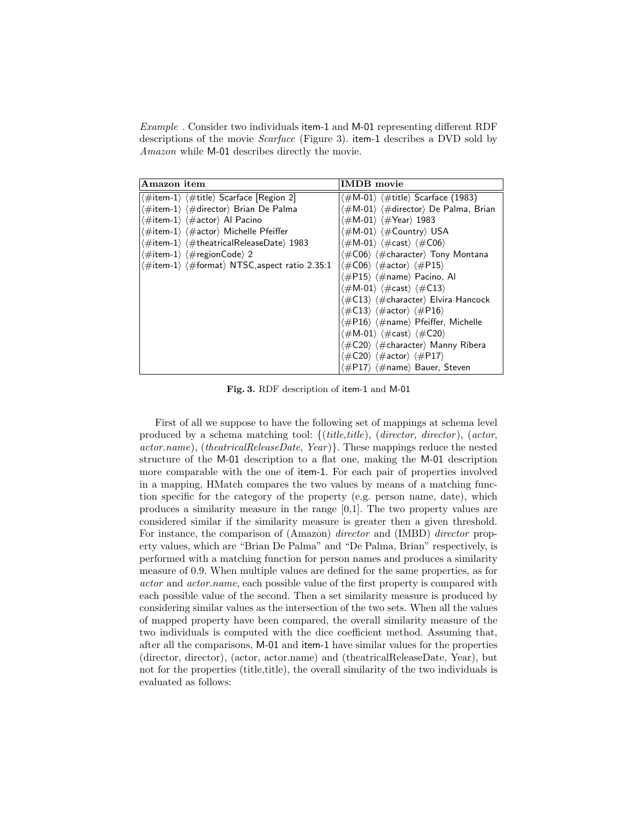Example . Consider two individuals item-1 and M-01 representing different RDF descriptions of the movie Scarface (Figure 3). item-1 describes a DVD sold by Amazon while M-01 describes directly the movie.

| Amazon item                                                                         | <b>IMDB</b> movie                                                                                       |
|-------------------------------------------------------------------------------------|---------------------------------------------------------------------------------------------------------|
| $\langle \#$ item-1 $\rangle$ $\langle \#$ title $\rangle$ Scarface [Region 2]      | $\langle \# M - 01 \rangle$ $\langle \# \text{title} \rangle$ Scarface (1983)                           |
| 〈#item-1〉 〈#director〉 Brian De Palma                                                | 〈#M-01〉 〈#director〉 De Palma, Brian                                                                     |
| 〈#item-1〉 〈#actor〉 Al Pacino                                                        | $\langle \# \mathsf{M}\text{-}01 \rangle$ $\langle \# \text{Year} \rangle$ 1983                         |
| $\langle\#$ item-1 $\rangle$ $\langle\#$ actor $\rangle$ Michelle Pfeiffer          | (#M-01) (#Country) USA                                                                                  |
| $\langle\#$ item-1 $\rangle$ $\langle\#$ theatricalReleaseDate $\rangle$ 1983       | $\langle \# M - 01 \rangle$ $\langle \# cast \rangle$ $\langle \# C06 \rangle$                          |
| $\langle\#item-1\rangle$ $\langle\#regionCode\rangle$ 2                             | (#C06) (#character) Tony Montana                                                                        |
| $\langle\#$ item-1 $\rangle$ $\langle\#$ format $\rangle$ NTSC, aspect ratio 2.35:1 | $\langle \# \mathsf{C}06 \rangle$ $\langle \# \mathsf{actor} \rangle$ $\langle \# \mathsf{P}15 \rangle$ |
|                                                                                     | (#P15) (#name) Pacino, Al                                                                               |
|                                                                                     | $\langle \#M-01 \rangle$ $\langle \#cast \rangle$ $\langle \#C13 \rangle$                               |
|                                                                                     | (#C13) (#character) Elvira Hancock                                                                      |
|                                                                                     | $\langle \#C13 \rangle$ $\langle \#actor \rangle$ $\langle \#P16 \rangle$                               |
|                                                                                     | $\langle \#P16 \rangle$ $\langle \#name \rangle$ Pfeiffer, Michelle                                     |
|                                                                                     | $\langle \# M - 01 \rangle$ $\langle \# cast \rangle$ $\langle \# C20 \rangle$                          |
|                                                                                     | (#C20) (#character) Manny Ribera                                                                        |
|                                                                                     | $\langle \#C20 \rangle$ $\langle \#actor \rangle$ $\langle \#P17 \rangle$                               |
|                                                                                     | 〈#P17〉 〈#name〉 Bauer, Steven                                                                            |

Fig. 3. RDF description of item-1 and M-01

First of all we suppose to have the following set of mappings at schema level produced by a schema matching tool:  $\{(title, title), (directory, director), (actor,$  $actor.name$ ,  $(the a trical Release Date, Year)$ . These mappings reduce the nested structure of the M-01 description to a flat one, making the M-01 description more comparable with the one of item-1. For each pair of properties involved in a mapping, HMatch compares the two values by means of a matching function specific for the category of the property (e.g. person name, date), which produces a similarity measure in the range [0,1]. The two property values are considered similar if the similarity measure is greater then a given threshold. For instance, the comparison of (Amazon) director and (IMBD) director property values, which are "Brian De Palma" and "De Palma, Brian" respectively, is performed with a matching function for person names and produces a similarity measure of 0.9. When multiple values are defined for the same properties, as for actor and actor.name, each possible value of the first property is compared with each possible value of the second. Then a set similarity measure is produced by considering similar values as the intersection of the two sets. When all the values of mapped property have been compared, the overall similarity measure of the two individuals is computed with the dice coefficient method. Assuming that, after all the comparisons, M-01 and item-1 have similar values for the properties (director, director), (actor, actor.name) and (theatricalReleaseDate, Year), but not for the properties (title, title), the overall similarity of the two individuals is evaluated as follows: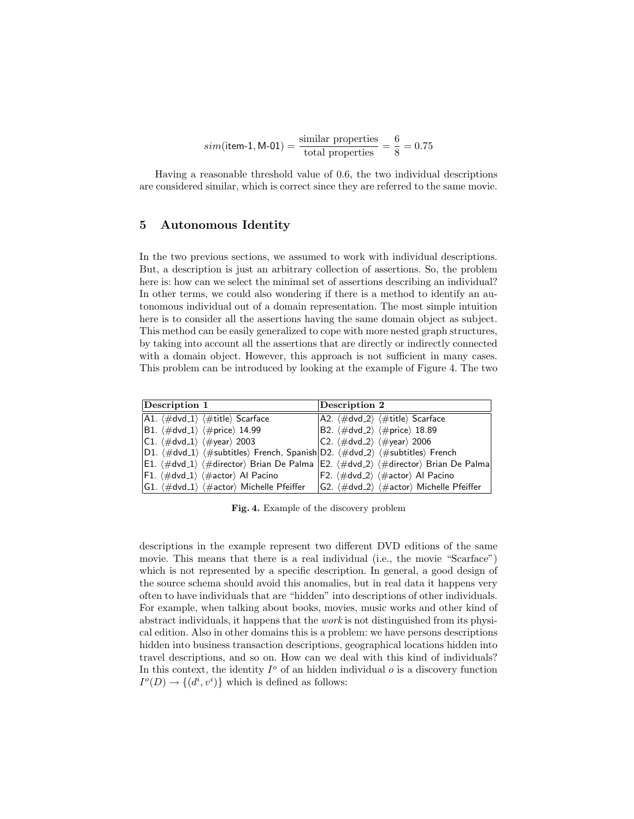$$
sim(\text{item-1}, \text{M-01}) = \frac{\text{similar properties}}{\text{total properties}} = \frac{6}{8} = 0.75
$$

Having a reasonable threshold value of 0.6, the two individual descriptions are considered similar, which is correct since they are referred to the same movie.

# 5 Autonomous Identity

In the two previous sections, we assumed to work with individual descriptions. But, a description is just an arbitrary collection of assertions. So, the problem here is: how can we select the minimal set of assertions describing an individual? In other terms, we could also wondering if there is a method to identify an autonomous individual out of a domain representation. The most simple intuition here is to consider all the assertions having the same domain object as subject. This method can be easily generalized to cope with more nested graph structures, by taking into account all the assertions that are directly or indirectly connected with a domain object. However, this approach is not sufficient in many cases. This problem can be introduced by looking at the example of Figure 4. The two

| Description 1                                                                                                                                                                        | Description 2                                                            |
|--------------------------------------------------------------------------------------------------------------------------------------------------------------------------------------|--------------------------------------------------------------------------|
| $\vert$ A1. $\langle \#$ dvd <sub>-1</sub> $\rangle$ $\langle \#$ title $\rangle$ Scarface                                                                                           | $ A2. \langle \#dvd_2 \rangle \langle \#title \rangle$ Scarface          |
| $ B1. \langle \#dvd_1 \rangle \langle \#price \rangle 14.99$                                                                                                                         | $ B2. \langle \#dvd_2 \rangle \langle \#price \rangle 18.89$             |
| $\vert$ C1. $\langle \#$ dvd <sub>-1</sub> $\rangle$ $\langle \#$ year $\rangle$ 2003                                                                                                | $ C2. \langle \#dvd_2 \rangle \langle \#year \rangle 2006$               |
| $ D1. \langle \# \mathsf{dvd}_1 \rangle \langle \# \mathsf{subtitles} \rangle$ French, Spanish $ D2. \langle \# \mathsf{dvd}_2 \rangle \langle \# \mathsf{subtitles} \rangle$ French |                                                                          |
| E1. $\#dvd_1 \langle \#dved_1 \rangle$ $\langle \#director \rangle$ Brian De Palma   E2. $\langle \#dvd_2 \rangle$ $\langle \#director \rangle$ Brian De Palma                       |                                                                          |
| $\ket{\mathsf{F1}}\bra{\# \mathsf{dvd}\_1}\bra{\# \mathsf{actor}}$ Al Pacino                                                                                                         | $ F2. \langle \#dvd_2 \rangle \langle \#actor \rangle$ Al Pacino         |
| $ \mathsf{G1}_\cdot\!\>$ $\langle\# \mathsf{dvd}\_1\rangle\;\langle\# \mathsf{actor}\rangle$ Michelle Pfeiffer                                                                       | $ G2. \langle \#dvd_2 \rangle \langle \#actor \rangle$ Michelle Pfeiffer |

Fig. 4. Example of the discovery problem

descriptions in the example represent two different DVD editions of the same movie. This means that there is a real individual (i.e., the movie "Scarface") which is not represented by a specific description. In general, a good design of the source schema should avoid this anomalies, but in real data it happens very often to have individuals that are "hidden" into descriptions of other individuals. For example, when talking about books, movies, music works and other kind of abstract individuals, it happens that the work is not distinguished from its physical edition. Also in other domains this is a problem: we have persons descriptions hidden into business transaction descriptions, geographical locations hidden into travel descriptions, and so on. How can we deal with this kind of individuals? In this context, the identity  $I^o$  of an hidden individual  $o$  is a discovery function  $I^o(D) \to \{(d^i, v^i)\}\$  which is defined as follows: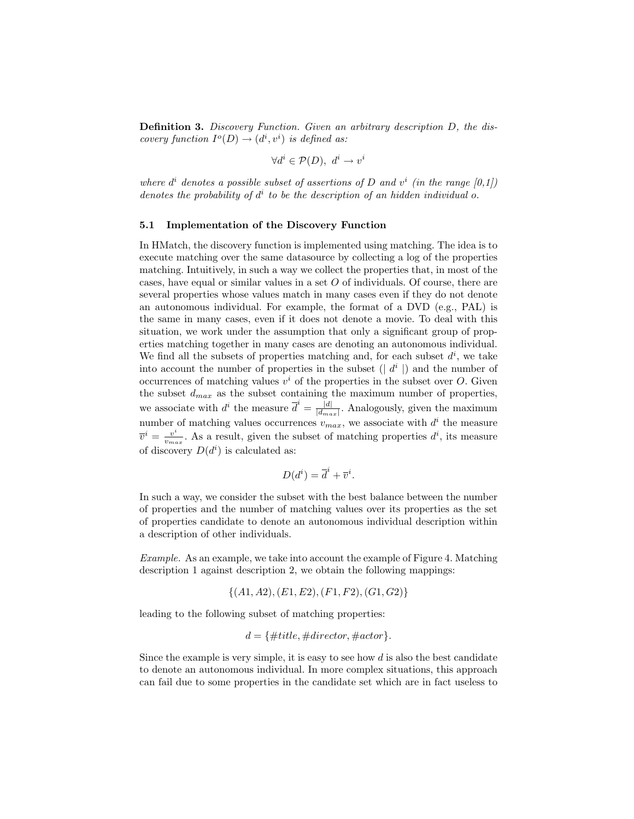Definition 3. Discovery Function. Given an arbitrary description D, the discovery function  $I^o(D) \to (d^i, v^i)$  is defined as:

$$
\forall d^i \in \mathcal{P}(D), \ d^i \to v^i
$$

where  $d^i$  denotes a possible subset of assertions of D and  $v^i$  (in the range [0,1]) denotes the probability of  $d^i$  to be the description of an hidden individual o.

#### 5.1 Implementation of the Discovery Function

In HMatch, the discovery function is implemented using matching. The idea is to execute matching over the same datasource by collecting a log of the properties matching. Intuitively, in such a way we collect the properties that, in most of the cases, have equal or similar values in a set O of individuals. Of course, there are several properties whose values match in many cases even if they do not denote an autonomous individual. For example, the format of a DVD (e.g., PAL) is the same in many cases, even if it does not denote a movie. To deal with this situation, we work under the assumption that only a significant group of properties matching together in many cases are denoting an autonomous individual. We find all the subsets of properties matching and, for each subset  $d^i$ , we take into account the number of properties in the subset  $(|d^i|)$  and the number of occurrences of matching values  $v^i$  of the properties in the subset over O. Given the subset  $d_{max}$  as the subset containing the maximum number of properties, we associate with  $d^i$  the measure  $\overline{d}^i = \frac{d}{d}$  $\frac{|d|}{|d_{max}|}$ . Analogously, given the maximum number of matching values occurrences  $v_{max}$ , we associate with  $d<sup>i</sup>$  the measure  $\overline{v}^i = \frac{v^i}{v}$  $\frac{v^i}{v_{max}}$ . As a result, given the subset of matching properties  $d^i$ , its measure of discovery  $D(d^i)$  is calculated as:

$$
D(d^i) = \overline{d}^i + \overline{v}^i.
$$

In such a way, we consider the subset with the best balance between the number of properties and the number of matching values over its properties as the set of properties candidate to denote an autonomous individual description within a description of other individuals.

Example. As an example, we take into account the example of Figure 4. Matching description 1 against description 2, we obtain the following mappings:

$$
\{(A1, A2), (E1, E2), (F1, F2), (G1, G2)\}
$$

leading to the following subset of matching properties:

$$
d = \{\# title, \# director, \#actor\}.
$$

Since the example is very simple, it is easy to see how  $d$  is also the best candidate to denote an autonomous individual. In more complex situations, this approach can fail due to some properties in the candidate set which are in fact useless to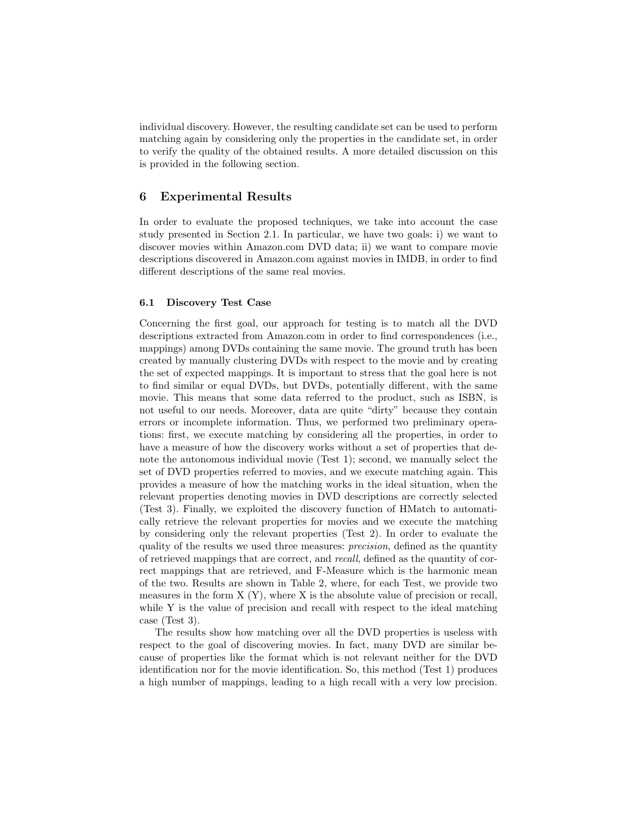individual discovery. However, the resulting candidate set can be used to perform matching again by considering only the properties in the candidate set, in order to verify the quality of the obtained results. A more detailed discussion on this is provided in the following section.

### 6 Experimental Results

In order to evaluate the proposed techniques, we take into account the case study presented in Section 2.1. In particular, we have two goals: i) we want to discover movies within Amazon.com DVD data; ii) we want to compare movie descriptions discovered in Amazon.com against movies in IMDB, in order to find different descriptions of the same real movies.

#### 6.1 Discovery Test Case

Concerning the first goal, our approach for testing is to match all the DVD descriptions extracted from Amazon.com in order to find correspondences (i.e., mappings) among DVDs containing the same movie. The ground truth has been created by manually clustering DVDs with respect to the movie and by creating the set of expected mappings. It is important to stress that the goal here is not to find similar or equal DVDs, but DVDs, potentially different, with the same movie. This means that some data referred to the product, such as ISBN, is not useful to our needs. Moreover, data are quite "dirty" because they contain errors or incomplete information. Thus, we performed two preliminary operations: first, we execute matching by considering all the properties, in order to have a measure of how the discovery works without a set of properties that denote the autonomous individual movie (Test 1); second, we manually select the set of DVD properties referred to movies, and we execute matching again. This provides a measure of how the matching works in the ideal situation, when the relevant properties denoting movies in DVD descriptions are correctly selected (Test 3). Finally, we exploited the discovery function of HMatch to automatically retrieve the relevant properties for movies and we execute the matching by considering only the relevant properties (Test 2). In order to evaluate the quality of the results we used three measures: *precision*, defined as the quantity of retrieved mappings that are correct, and recall, defined as the quantity of correct mappings that are retrieved, and F-Measure which is the harmonic mean of the two. Results are shown in Table 2, where, for each Test, we provide two measures in the form  $X(Y)$ , where  $X$  is the absolute value of precision or recall, while Y is the value of precision and recall with respect to the ideal matching case (Test 3).

The results show how matching over all the DVD properties is useless with respect to the goal of discovering movies. In fact, many DVD are similar because of properties like the format which is not relevant neither for the DVD identification nor for the movie identification. So, this method (Test 1) produces a high number of mappings, leading to a high recall with a very low precision.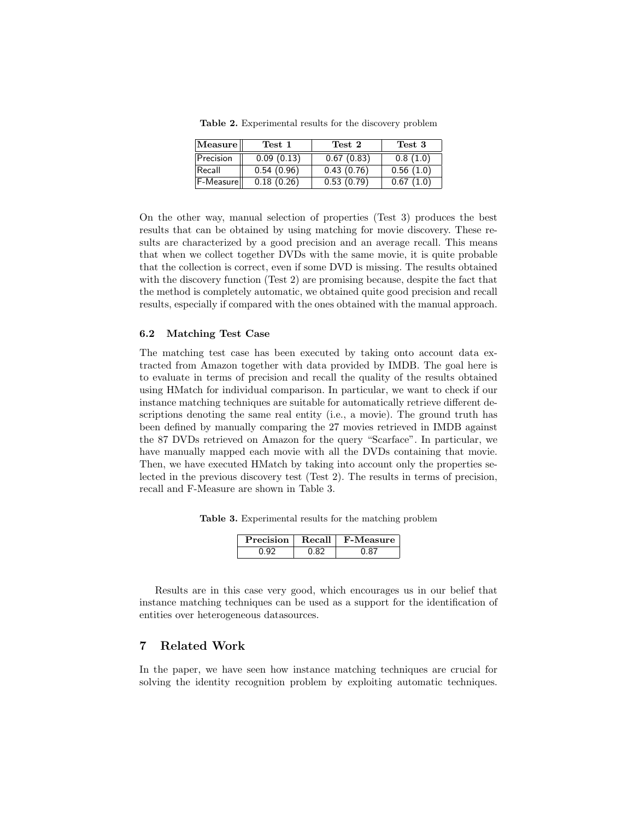| Measure   | Test 1     | Test 2     | Test 3    |
|-----------|------------|------------|-----------|
| Precision | 0.09(0.13) | 0.67(0.83) | 0.8(1.0)  |
| Recall    | 0.54(0.96) | 0.43(0.76) | 0.56(1.0) |
| F-Measure | 0.18(0.26) | 0.53(0.79) | 0.67(1.0) |

Table 2. Experimental results for the discovery problem

On the other way, manual selection of properties (Test 3) produces the best results that can be obtained by using matching for movie discovery. These results are characterized by a good precision and an average recall. This means that when we collect together DVDs with the same movie, it is quite probable that the collection is correct, even if some DVD is missing. The results obtained with the discovery function (Test 2) are promising because, despite the fact that the method is completely automatic, we obtained quite good precision and recall results, especially if compared with the ones obtained with the manual approach.

#### 6.2 Matching Test Case

The matching test case has been executed by taking onto account data extracted from Amazon together with data provided by IMDB. The goal here is to evaluate in terms of precision and recall the quality of the results obtained using HMatch for individual comparison. In particular, we want to check if our instance matching techniques are suitable for automatically retrieve different descriptions denoting the same real entity (i.e., a movie). The ground truth has been defined by manually comparing the 27 movies retrieved in IMDB against the 87 DVDs retrieved on Amazon for the query "Scarface". In particular, we have manually mapped each movie with all the DVDs containing that movie. Then, we have executed HMatch by taking into account only the properties selected in the previous discovery test (Test 2). The results in terms of precision, recall and F-Measure are shown in Table 3.

Table 3. Experimental results for the matching problem

| Precision | Recall | <b>F-Measure</b> |
|-----------|--------|------------------|
|           |        |                  |

Results are in this case very good, which encourages us in our belief that instance matching techniques can be used as a support for the identification of entities over heterogeneous datasources.

### 7 Related Work

In the paper, we have seen how instance matching techniques are crucial for solving the identity recognition problem by exploiting automatic techniques.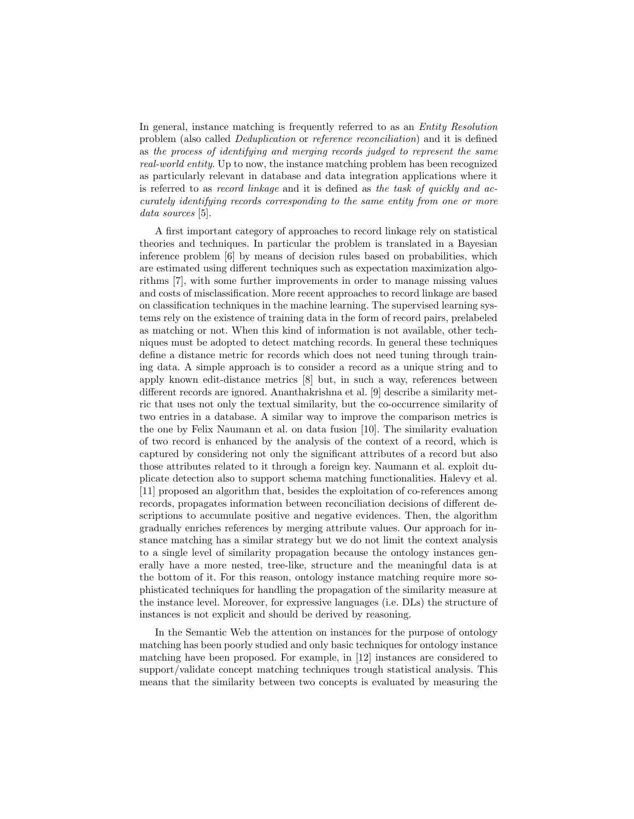In general, instance matching is frequently referred to as an Entity Resolution problem (also called Deduplication or reference reconciliation) and it is defined as the process of identifying and merging records judged to represent the same real-world entity. Up to now, the instance matching problem has been recognized as particularly relevant in database and data integration applications where it is referred to as record linkage and it is defined as the task of quickly and accurately identifying records corresponding to the same entity from one or more data sources [5].

A first important category of approaches to record linkage rely on statistical theories and techniques. In particular the problem is translated in a Bayesian inference problem [6] by means of decision rules based on probabilities, which are estimated using different techniques such as expectation maximization algorithms [7], with some further improvements in order to manage missing values and costs of misclassification. More recent approaches to record linkage are based on classification techniques in the machine learning. The supervised learning systems rely on the existence of training data in the form of record pairs, prelabeled as matching or not. When this kind of information is not available, other techniques must be adopted to detect matching records. In general these techniques define a distance metric for records which does not need tuning through training data. A simple approach is to consider a record as a unique string and to apply known edit-distance metrics [8] but, in such a way, references between different records are ignored. Ananthakrishna et al. [9] describe a similarity metric that uses not only the textual similarity, but the co-occurrence similarity of two entries in a database. A similar way to improve the comparison metrics is the one by Felix Naumann et al. on data fusion [10]. The similarity evaluation of two record is enhanced by the analysis of the context of a record, which is captured by considering not only the significant attributes of a record but also those attributes related to it through a foreign key. Naumann et al. exploit duplicate detection also to support schema matching functionalities. Halevy et al. [11] proposed an algorithm that, besides the exploitation of co-references among records, propagates information between reconciliation decisions of different descriptions to accumulate positive and negative evidences. Then, the algorithm gradually enriches references by merging attribute values. Our approach for instance matching has a similar strategy but we do not limit the context analysis to a single level of similarity propagation because the ontology instances generally have a more nested, tree-like, structure and the meaningful data is at the bottom of it. For this reason, ontology instance matching require more sophisticated techniques for handling the propagation of the similarity measure at the instance level. Moreover, for expressive languages (i.e. DLs) the structure of instances is not explicit and should be derived by reasoning.

In the Semantic Web the attention on instances for the purpose of ontology matching has been poorly studied and only basic techniques for ontology instance matching have been proposed. For example, in [12] instances are considered to support/validate concept matching techniques trough statistical analysis. This means that the similarity between two concepts is evaluated by measuring the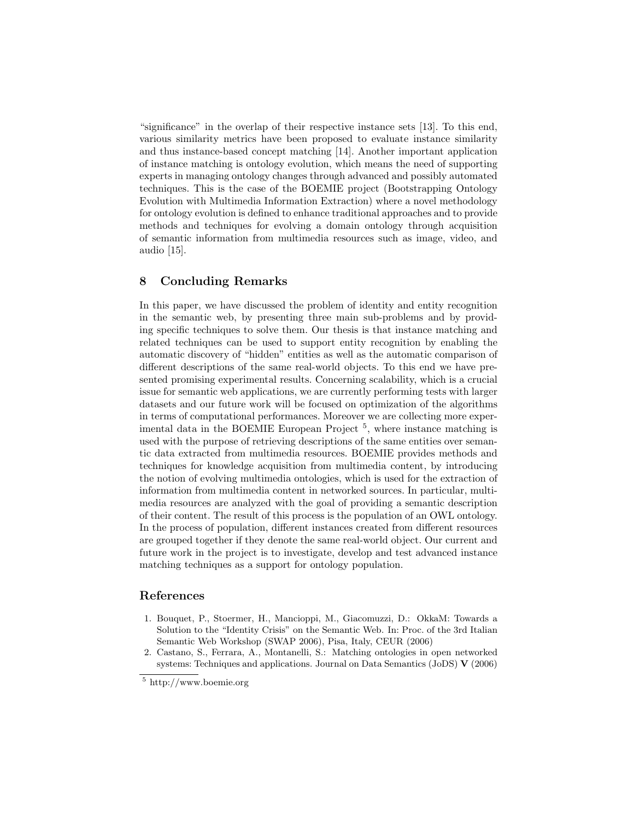"significance" in the overlap of their respective instance sets [13]. To this end, various similarity metrics have been proposed to evaluate instance similarity and thus instance-based concept matching [14]. Another important application of instance matching is ontology evolution, which means the need of supporting experts in managing ontology changes through advanced and possibly automated techniques. This is the case of the BOEMIE project (Bootstrapping Ontology Evolution with Multimedia Information Extraction) where a novel methodology for ontology evolution is defined to enhance traditional approaches and to provide methods and techniques for evolving a domain ontology through acquisition of semantic information from multimedia resources such as image, video, and audio [15].

# 8 Concluding Remarks

In this paper, we have discussed the problem of identity and entity recognition in the semantic web, by presenting three main sub-problems and by providing specific techniques to solve them. Our thesis is that instance matching and related techniques can be used to support entity recognition by enabling the automatic discovery of "hidden" entities as well as the automatic comparison of different descriptions of the same real-world objects. To this end we have presented promising experimental results. Concerning scalability, which is a crucial issue for semantic web applications, we are currently performing tests with larger datasets and our future work will be focused on optimization of the algorithms in terms of computational performances. Moreover we are collecting more experimental data in the BOEMIE European Project<sup>5</sup>, where instance matching is used with the purpose of retrieving descriptions of the same entities over semantic data extracted from multimedia resources. BOEMIE provides methods and techniques for knowledge acquisition from multimedia content, by introducing the notion of evolving multimedia ontologies, which is used for the extraction of information from multimedia content in networked sources. In particular, multimedia resources are analyzed with the goal of providing a semantic description of their content. The result of this process is the population of an OWL ontology. In the process of population, different instances created from different resources are grouped together if they denote the same real-world object. Our current and future work in the project is to investigate, develop and test advanced instance matching techniques as a support for ontology population.

### References

- 1. Bouquet, P., Stoermer, H., Mancioppi, M., Giacomuzzi, D.: OkkaM: Towards a Solution to the "Identity Crisis" on the Semantic Web. In: Proc. of the 3rd Italian Semantic Web Workshop (SWAP 2006), Pisa, Italy, CEUR (2006)
- 2. Castano, S., Ferrara, A., Montanelli, S.: Matching ontologies in open networked systems: Techniques and applications. Journal on Data Semantics (JoDS) V (2006)

<sup>5</sup> http://www.boemie.org